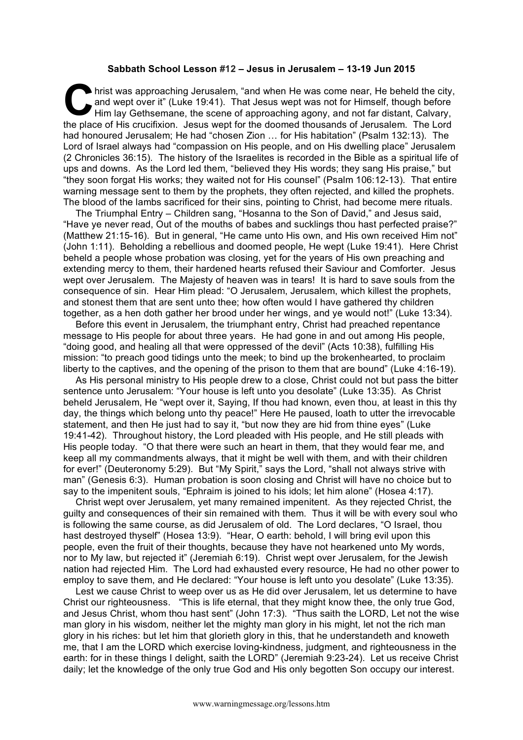## **Sabbath School Lesson #12 – Jesus in Jerusalem – 13-19 Jun 2015**

hrist was approaching Jerusalem, "and when He was come near, He beheld the city, and wept over it" (Luke 19:41). That Jesus wept was not for Himself, though before Him lay Gethsemane, the scene of approaching agony, and no and wept over it" (Luke 19:41). That Jesus wept was not for Himself, though before Him lay Gethsemane, the scene of approaching agony, and not far distant, Calvary, the place of His crucifixion. Jesus wept for the doomed thousands of Jerusalem. The Lord had honoured Jerusalem; He had "chosen Zion … for His habitation" (Psalm 132:13). The Lord of Israel always had "compassion on His people, and on His dwelling place" Jerusalem (2 Chronicles 36:15). The history of the Israelites is recorded in the Bible as a spiritual life of ups and downs. As the Lord led them, "believed they His words; they sang His praise," but "they soon forgat His works; they waited not for His counsel" (Psalm 106:12-13). That entire warning message sent to them by the prophets, they often rejected, and killed the prophets. The blood of the lambs sacrificed for their sins, pointing to Christ, had become mere rituals.

The Triumphal Entry – Children sang, "Hosanna to the Son of David," and Jesus said, "Have ye never read, Out of the mouths of babes and sucklings thou hast perfected praise?" (Matthew 21:15-16). But in general, "He came unto His own, and His own received Him not" (John 1:11). Beholding a rebellious and doomed people, He wept (Luke 19:41). Here Christ beheld a people whose probation was closing, yet for the years of His own preaching and extending mercy to them, their hardened hearts refused their Saviour and Comforter. Jesus wept over Jerusalem. The Majesty of heaven was in tears! It is hard to save souls from the consequence of sin. Hear Him plead: "O Jerusalem, Jerusalem, which killest the prophets, and stonest them that are sent unto thee; how often would I have gathered thy children together, as a hen doth gather her brood under her wings, and ye would not!" (Luke 13:34).

Before this event in Jerusalem, the triumphant entry, Christ had preached repentance message to His people for about three years. He had gone in and out among His people, "doing good, and healing all that were oppressed of the devil" (Acts 10:38), fulfilling His mission: "to preach good tidings unto the meek; to bind up the brokenhearted, to proclaim liberty to the captives, and the opening of the prison to them that are bound" (Luke 4:16-19).

As His personal ministry to His people drew to a close, Christ could not but pass the bitter sentence unto Jerusalem: "Your house is left unto you desolate" (Luke 13:35). As Christ beheld Jerusalem, He "wept over it, Saying, If thou had known, even thou, at least in this thy day, the things which belong unto thy peace!" Here He paused, loath to utter the irrevocable statement, and then He just had to say it, "but now they are hid from thine eyes" (Luke 19:41-42). Throughout history, the Lord pleaded with His people, and He still pleads with His people today. "O that there were such an heart in them, that they would fear me, and keep all my commandments always, that it might be well with them, and with their children for ever!" (Deuteronomy 5:29). But "My Spirit," says the Lord, "shall not always strive with man" (Genesis 6:3). Human probation is soon closing and Christ will have no choice but to say to the impenitent souls, "Ephraim is joined to his idols; let him alone" (Hosea 4:17).

Christ wept over Jerusalem, yet many remained impenitent. As they rejected Christ, the guilty and consequences of their sin remained with them. Thus it will be with every soul who is following the same course, as did Jerusalem of old. The Lord declares, "O Israel, thou hast destroyed thyself" (Hosea 13:9). "Hear, O earth: behold, I will bring evil upon this people, even the fruit of their thoughts, because they have not hearkened unto My words, nor to My law, but rejected it" (Jeremiah 6:19). Christ wept over Jerusalem, for the Jewish nation had rejected Him. The Lord had exhausted every resource, He had no other power to employ to save them, and He declared: "Your house is left unto you desolate" (Luke 13:35).

Lest we cause Christ to weep over us as He did over Jerusalem, let us determine to have Christ our righteousness. "This is life eternal, that they might know thee, the only true God, and Jesus Christ, whom thou hast sent" (John 17:3). "Thus saith the LORD, Let not the wise man glory in his wisdom, neither let the mighty man glory in his might, let not the rich man glory in his riches: but let him that glorieth glory in this, that he understandeth and knoweth me, that I am the LORD which exercise loving-kindness, judgment, and righteousness in the earth: for in these things I delight, saith the LORD" (Jeremiah 9:23-24). Let us receive Christ daily; let the knowledge of the only true God and His only begotten Son occupy our interest.